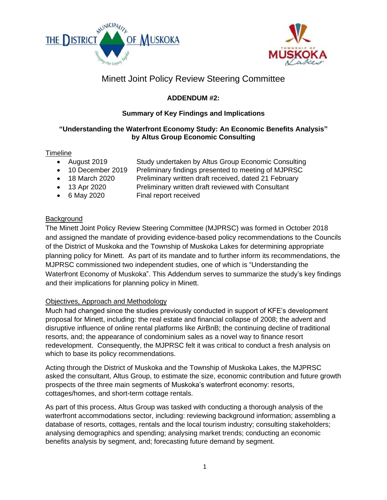



# Minett Joint Policy Review Steering Committee

## **ADDENDUM #2:**

## **Summary of Key Findings and Implications**

### **"Understanding the Waterfront Economy Study: An Economic Benefits Analysis" by Altus Group Economic Consulting**

### **Timeline**

- August 2019 Study undertaken by Altus Group Economic Consulting
- 
- 10 December 2019 Preliminary findings presented to meeting of MJPRSC
	- 18 March 2020 Preliminary written draft received, dated 21 February
	- 13 Apr 2020 Preliminary written draft reviewed with Consultant
- 6 May 2020 Final report received

## **Background**

The Minett Joint Policy Review Steering Committee (MJPRSC) was formed in October 2018 and assigned the mandate of providing evidence-based policy recommendations to the Councils of the District of Muskoka and the Township of Muskoka Lakes for determining appropriate planning policy for Minett. As part of its mandate and to further inform its recommendations, the MJPRSC commissioned two independent studies, one of which is "Understanding the Waterfront Economy of Muskoka". This Addendum serves to summarize the study's key findings and their implications for planning policy in Minett.

### Objectives, Approach and Methodology

Much had changed since the studies previously conducted in support of KFE's development proposal for Minett, including: the real estate and financial collapse of 2008; the advent and disruptive influence of online rental platforms like AirBnB; the continuing decline of traditional resorts, and; the appearance of condominium sales as a novel way to finance resort redevelopment. Consequently, the MJPRSC felt it was critical to conduct a fresh analysis on which to base its policy recommendations.

Acting through the District of Muskoka and the Township of Muskoka Lakes, the MJPRSC asked the consultant, Altus Group, to estimate the size, economic contribution and future growth prospects of the three main segments of Muskoka's waterfront economy: resorts, cottages/homes, and short-term cottage rentals.

As part of this process, Altus Group was tasked with conducting a thorough analysis of the waterfront accommodations sector, including: reviewing background information; assembling a database of resorts, cottages, rentals and the local tourism industry; consulting stakeholders; analysing demographics and spending; analysing market trends; conducting an economic benefits analysis by segment, and; forecasting future demand by segment.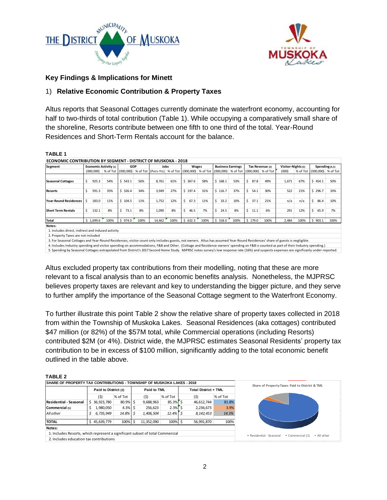



### **Key Findings & Implications for Minett**

### 1) **Relative Economic Contribution & Property Taxes**

Altus reports that Seasonal Cottages currently dominate the waterfront economy, accounting for half to two-thirds of total contribution (Table 1). While occupying a comparatively small share of the shoreline, Resorts contribute between one fifth to one third of the total. Year-Round Residences and Short-Term Rentals account for the balance.

#### **TABLE 1**

| ECONOMIC CONTRIBUTION BY SEGMENT - DISTRICT OF MUSKOKA - 2018                                                                                                                              |                              |      |            |      |                                                                                                          |      |            |      |                          |      |                 |      |                    |      |                    |          |
|--------------------------------------------------------------------------------------------------------------------------------------------------------------------------------------------|------------------------------|------|------------|------|----------------------------------------------------------------------------------------------------------|------|------------|------|--------------------------|------|-----------------|------|--------------------|------|--------------------|----------|
| Segment                                                                                                                                                                                    | <b>Economic Activity (1)</b> |      | <b>GDP</b> |      | Jobs                                                                                                     |      | Wages      |      | <b>Business Earnings</b> |      | Tax Revenue (2) |      | Visitor-Nights (3) |      | Spending (4,5)     |          |
|                                                                                                                                                                                            | (000, 000)                   |      |            |      | % of Tot (000,000) % of Tot (Pers-Yrs) % of Tot (000,000) % of Tot (000,000) % of Tot (000,000) % of Tot |      |            |      |                          |      |                 |      | (000)              |      | % of Tot (000,000) | % of Tot |
|                                                                                                                                                                                            |                              |      |            |      |                                                                                                          |      |            |      |                          |      |                 |      |                    |      |                    |          |
| <b>Seasonal Cottages</b>                                                                                                                                                                   | Ś.<br>925.3                  | 54%  | \$543.1    | 56%  | 8,761                                                                                                    | 61%  | \$367.6    | 58%  | \$168.1                  | 53%  | 87.8<br>Ś.      | 49%  | 1,671              | 67%  | \$454.1            | 50%      |
| <b>Resorts</b>                                                                                                                                                                             | Ś<br>591.3                   | 35%  | \$326.4    | 34%  | 3,949                                                                                                    | 27%  | \$197.4    | 31%  | \$116.7                  | 37%  | Ś.<br>54.1      | 30%  | 522                | 21%  | \$296.7            | 33%      |
|                                                                                                                                                                                            |                              |      |            |      |                                                                                                          |      |            |      |                          |      |                 |      |                    |      |                    |          |
| <b>Year-Round Residences</b>                                                                                                                                                               | 183.0                        | 11%  | \$104.5    | 11%  | 1,752                                                                                                    | 12%  | \$<br>67.3 | 11%  | Ś.<br>33.2               | 10%  | Ś.<br>37.1      | 21%  | n/a                | n/a  | Ś<br>86.4          | 10%      |
| <b>Short Term Rentals</b>                                                                                                                                                                  | Ŝ.<br>132.1                  | 8%   | \$<br>73.1 | 8%   | 1,090                                                                                                    | 8%   | \$<br>46.5 | 7%   | Ŝ.<br>24.5               | 8%   | Ś.<br>11.1      | 6%   | 291                | 12%  | Ś<br>65.9          | 7%       |
| Total                                                                                                                                                                                      | \$1,699.6                    | 100% | \$974.0    | 100% | 14,462                                                                                                   | 100% | \$632.3    | 100% | \$318.0                  | 100% | \$179.0         | 100% | 2,484              | 100% | \$903.1            | 100%     |
| Notes:                                                                                                                                                                                     |                              |      |            |      |                                                                                                          |      |            |      |                          |      |                 |      |                    |      |                    |          |
| 1. Includes direct, indirect and induced activity                                                                                                                                          |                              |      |            |      |                                                                                                          |      |            |      |                          |      |                 |      |                    |      |                    |          |
| 2. Property Taxes are not included                                                                                                                                                         |                              |      |            |      |                                                                                                          |      |            |      |                          |      |                 |      |                    |      |                    |          |
| 3. For Seasonal Cottages and Year-Round Residences, visitor count only includes guests, not owners. Altus has assumed Year-Round Residences' share of guests is negligible.                |                              |      |            |      |                                                                                                          |      |            |      |                          |      |                 |      |                    |      |                    |          |
| 4. Includes Industry spending and visitor spending on accommodations, F&B and Other. (Cottage and Residence owners' spending on F&B is counted as part of their Industry spending.)        |                              |      |            |      |                                                                                                          |      |            |      |                          |      |                 |      |                    |      |                    |          |
| 5. Spending by Seasonal Cottages extrapolated from District's 2017 Second Home Study. MJPRSC notes survey's low response rate (16%) and suspects expenses are significanly under-reported. |                              |      |            |      |                                                                                                          |      |            |      |                          |      |                 |      |                    |      |                    |          |

Altus excluded property tax contributions from their modelling, noting that these are more

relevant to a fiscal analysis than to an economic benefits analysis. Nonetheless, the MJPRSC believes property taxes are relevant and key to understanding the bigger picture, and they serve to further amplify the importance of the Seasonal Cottage segment to the Waterfront Economy.

To further illustrate this point Table 2 show the relative share of property taxes collected in 2018 from within the Township of Muskoka Lakes. Seasonal Residences (aka cottages) contributed \$47 million (or 82%) of the \$57M total, while Commercial operations (including Resorts) contributed \$2M (or 4%). District wide, the MJPRSC estimates Seasonal Residents' property tax contribution to be in excess of \$100 million, significantly adding to the total economic benefit outlined in the table above.

**TABLE 2**

| .                                                                              |                      |             |  |             |            |  |                             |          |  |
|--------------------------------------------------------------------------------|----------------------|-------------|--|-------------|------------|--|-----------------------------|----------|--|
| <b>ISHARE OF PROPERTY TAX CONTRIBUTIONS - TOWNSHIP OF MUSKOKA LAKES - 2018</b> |                      |             |  |             |            |  |                             |          |  |
|                                                                                | Paid to District (2) |             |  | Paid to TML |            |  | <b>Total District + TML</b> |          |  |
|                                                                                | (5)                  | % of Tot    |  | (5)         | % of Tot   |  | (\$)                        | % of Tot |  |
| <b>Residential - Seasonal</b>                                                  | 36,923,780<br>S.     | $80.9\%$ \$ |  | 9,688,963   | 85.3% \$   |  | 46,612,744                  | 81.8%    |  |
| Commercial (1)                                                                 | 1,980,050            | $4.3\%$ S   |  | 256,623     | $2.3\%$ \$ |  | 2,236,673                   | 3.9%     |  |
| All other                                                                      | 6,735,949            | $14.8\%$ S  |  | 1,406,504   | $12.4\%$ S |  | 8,142,453                   | 14.3%    |  |
| <b>TOTAL</b>                                                                   | 45,639,779           | 100% \$     |  | 11,352,090  | 100% \$    |  | 56,991,870                  | 100%     |  |
| Notes:                                                                         |                      |             |  |             |            |  |                             |          |  |
| 1. Includes Resorts, which represent a significant subset of total Commercial  |                      |             |  |             |            |  |                             |          |  |
| 2. Includes education tax contributions                                        |                      |             |  |             |            |  |                             |          |  |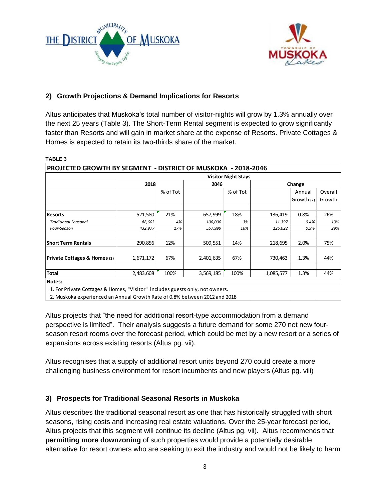



### **2) Growth Projections & Demand Implications for Resorts**

Altus anticipates that Muskoka's total number of visitor-nights will grow by 1.3% annually over the next 25 years (Table 3). The Short-Term Rental segment is expected to grow significantly faster than Resorts and will gain in market share at the expense of Resorts. Private Cottages & Homes is expected to retain its two-thirds share of the market.

|                              | <b>Visitor Night Stays</b> |          |           |          |           |            |         |  |  |  |  |  |  |
|------------------------------|----------------------------|----------|-----------|----------|-----------|------------|---------|--|--|--|--|--|--|
|                              | 2018                       |          | 2046      |          | Change    |            |         |  |  |  |  |  |  |
|                              |                            | % of Tot |           | % of Tot |           | Annual     | Overall |  |  |  |  |  |  |
|                              |                            |          |           |          |           | Growth (2) | Growth  |  |  |  |  |  |  |
|                              |                            |          |           |          |           |            |         |  |  |  |  |  |  |
| <b>Resorts</b>               | 521,580                    | 21%      | 657,999   | 18%      | 136,419   | 0.8%       | 26%     |  |  |  |  |  |  |
| <b>Traditional Seasonal</b>  | 88.603                     | 4%       | 100,000   | 3%       | 11,397    | 0.4%       | 13%     |  |  |  |  |  |  |
| Four-Season                  | 432,977                    | 17%      | 557,999   | 16%      | 125,022   | 0.9%       | 29%     |  |  |  |  |  |  |
| <b>Short Term Rentals</b>    | 290.856                    | 12%      | 509,551   | 14%      | 218.695   | 2.0%       | 75%     |  |  |  |  |  |  |
| Private Cottages & Homes (1) | 1,671,172                  | 67%      | 2,401,635 | 67%      | 730,463   | 1.3%       | 44%     |  |  |  |  |  |  |
| <b>Total</b>                 | 2,483,608                  | 100%     | 3,569,185 | 100%     | 1,085,577 | 1.3%       | 44%     |  |  |  |  |  |  |
| Notes:                       |                            |          |           |          |           |            |         |  |  |  |  |  |  |

#### **TABLE 3**

1. For Private Cottages & Homes, "Visitor" includes guests only, not owners.

2. Muskoka experienced an Annual Growth Rate of 0.8% between 2012 and 2018

Altus projects that "the need for additional resort-type accommodation from a demand perspective is limited". Their analysis suggests a future demand for some 270 net new fourseason resort rooms over the forecast period, which could be met by a new resort or a series of expansions across existing resorts (Altus pg. vii).

Altus recognises that a supply of additional resort units beyond 270 could create a more challenging business environment for resort incumbents and new players (Altus pg. viii)

### **3) Prospects for Traditional Seasonal Resorts in Muskoka**

Altus describes the traditional seasonal resort as one that has historically struggled with short seasons, rising costs and increasing real estate valuations. Over the 25-year forecast period, Altus projects that this segment will continue its decline (Altus pg. vii). Altus recommends that **permitting more downzoning** of such properties would provide a potentially desirable alternative for resort owners who are seeking to exit the industry and would not be likely to harm